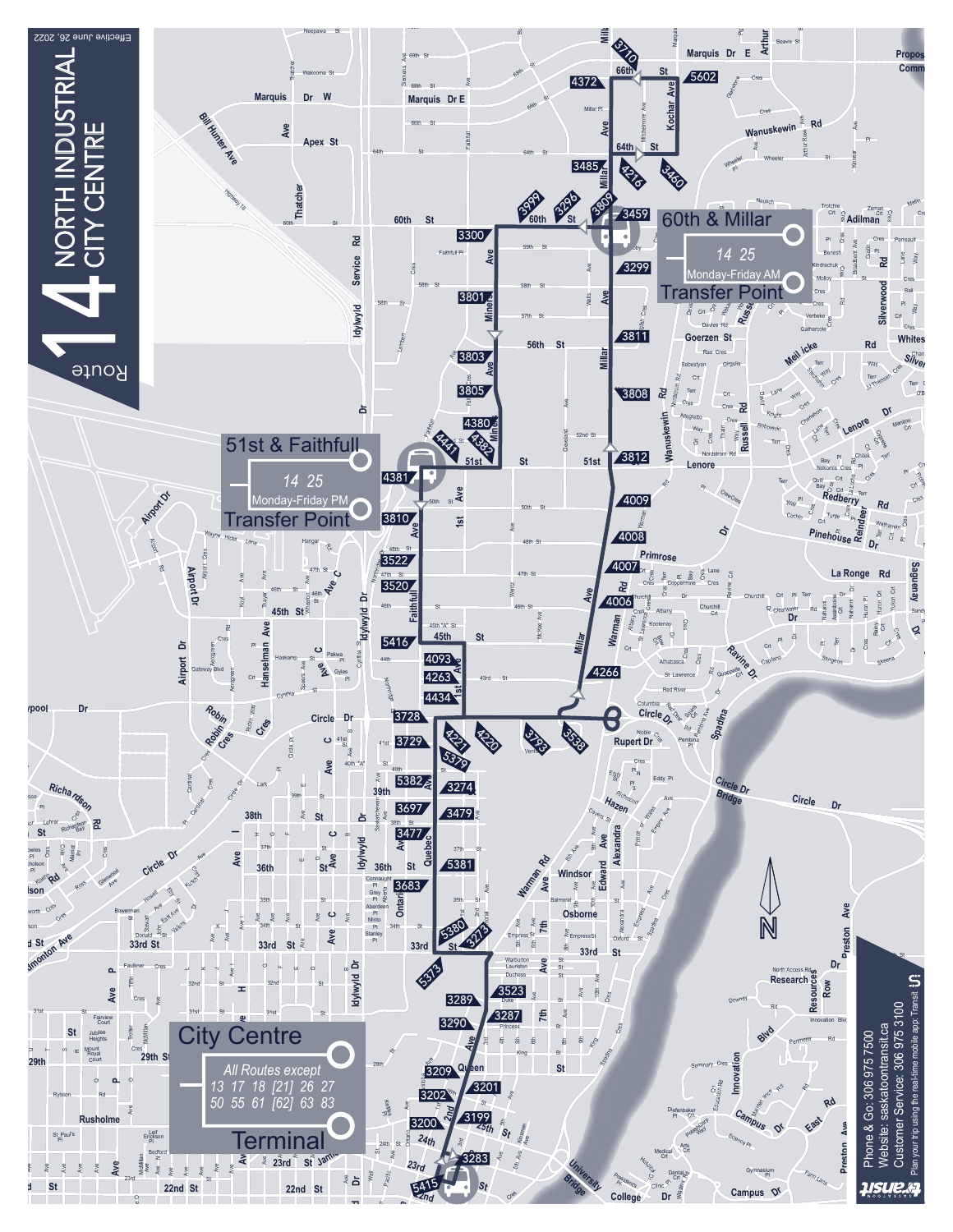